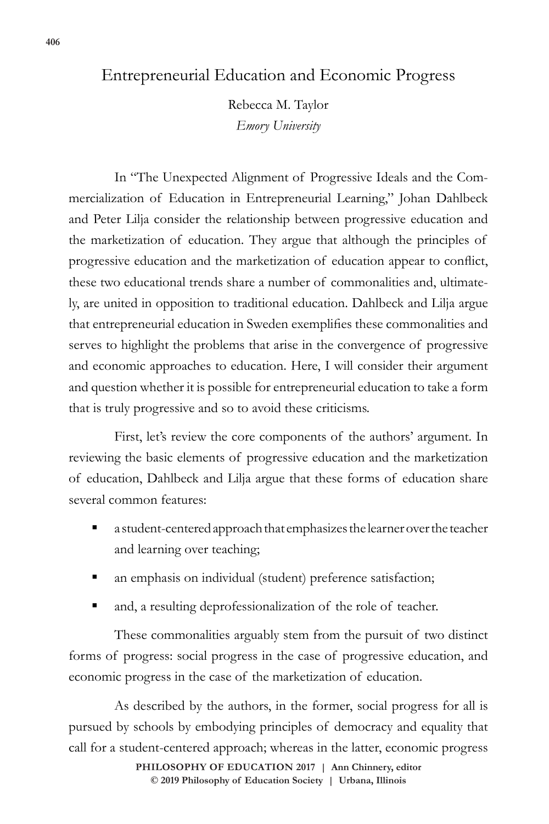## Entrepreneurial Education and Economic Progress

Rebecca M. Taylor *Emory University*

In "The Unexpected Alignment of Progressive Ideals and the Commercialization of Education in Entrepreneurial Learning," Johan Dahlbeck and Peter Lilja consider the relationship between progressive education and the marketization of education. They argue that although the principles of progressive education and the marketization of education appear to conflict, these two educational trends share a number of commonalities and, ultimately, are united in opposition to traditional education. Dahlbeck and Lilja argue that entrepreneurial education in Sweden exemplifies these commonalities and serves to highlight the problems that arise in the convergence of progressive and economic approaches to education. Here, I will consider their argument and question whether it is possible for entrepreneurial education to take a form that is truly progressive and so to avoid these criticisms.

First, let's review the core components of the authors' argument. In reviewing the basic elements of progressive education and the marketization of education, Dahlbeck and Lilja argue that these forms of education share several common features:

- a student-centered approach that emphasizes the learner over the teacher and learning over teaching;
- an emphasis on individual (student) preference satisfaction;
- and, a resulting deprofessionalization of the role of teacher.

These commonalities arguably stem from the pursuit of two distinct forms of progress: social progress in the case of progressive education, and economic progress in the case of the marketization of education.

As described by the authors, in the former, social progress for all is pursued by schools by embodying principles of democracy and equality that call for a student-centered approach; whereas in the latter, economic progress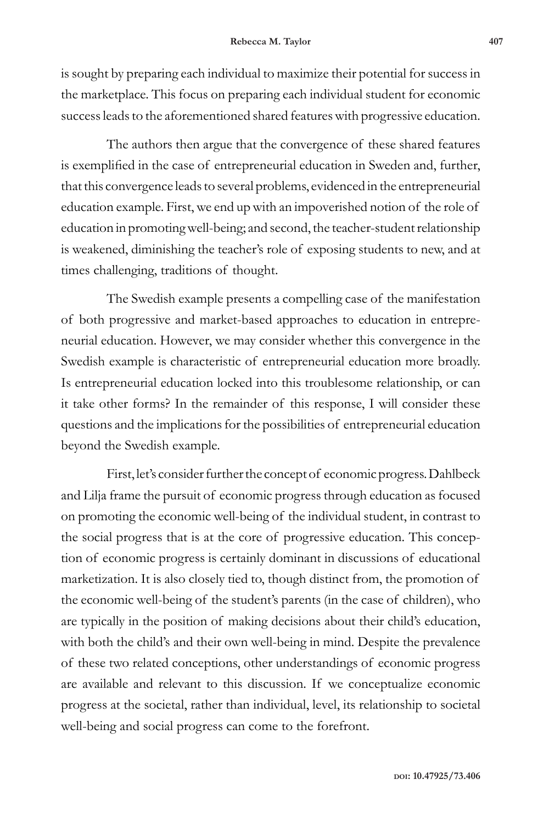is sought by preparing each individual to maximize their potential for success in the marketplace. This focus on preparing each individual student for economic success leads to the aforementioned shared features with progressive education.

The authors then argue that the convergence of these shared features is exemplified in the case of entrepreneurial education in Sweden and, further, that this convergence leads to several problems, evidenced in the entrepreneurial education example. First, we end up with an impoverished notion of the role of education in promoting well-being; and second, the teacher-student relationship is weakened, diminishing the teacher's role of exposing students to new, and at times challenging, traditions of thought.

The Swedish example presents a compelling case of the manifestation of both progressive and market-based approaches to education in entrepreneurial education. However, we may consider whether this convergence in the Swedish example is characteristic of entrepreneurial education more broadly. Is entrepreneurial education locked into this troublesome relationship, or can it take other forms? In the remainder of this response, I will consider these questions and the implications for the possibilities of entrepreneurial education beyond the Swedish example.

First, let's consider further the concept of economic progress. Dahlbeck and Lilja frame the pursuit of economic progress through education as focused on promoting the economic well-being of the individual student, in contrast to the social progress that is at the core of progressive education. This conception of economic progress is certainly dominant in discussions of educational marketization. It is also closely tied to, though distinct from, the promotion of the economic well-being of the student's parents (in the case of children), who are typically in the position of making decisions about their child's education, with both the child's and their own well-being in mind. Despite the prevalence of these two related conceptions, other understandings of economic progress are available and relevant to this discussion. If we conceptualize economic progress at the societal, rather than individual, level, its relationship to societal well-being and social progress can come to the forefront.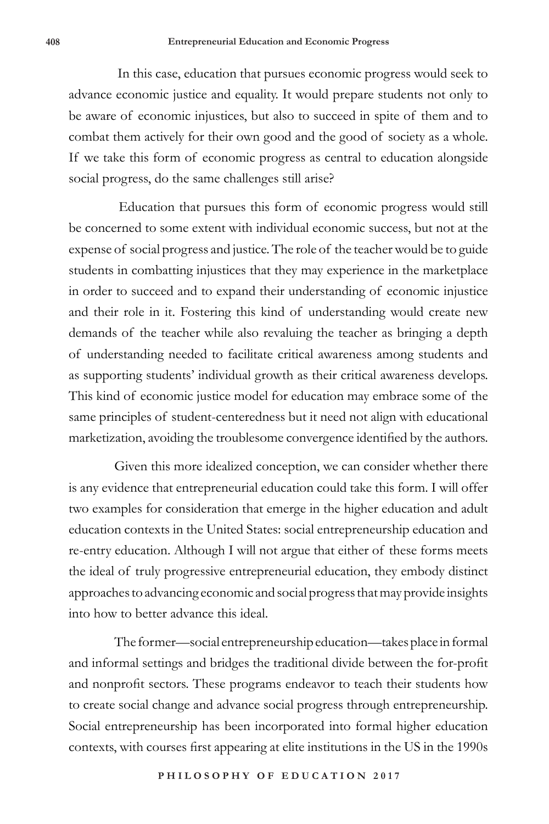In this case, education that pursues economic progress would seek to advance economic justice and equality. It would prepare students not only to be aware of economic injustices, but also to succeed in spite of them and to combat them actively for their own good and the good of society as a whole. If we take this form of economic progress as central to education alongside social progress, do the same challenges still arise?

 Education that pursues this form of economic progress would still be concerned to some extent with individual economic success, but not at the expense of social progress and justice. The role of the teacher would be to guide students in combatting injustices that they may experience in the marketplace in order to succeed and to expand their understanding of economic injustice and their role in it. Fostering this kind of understanding would create new demands of the teacher while also revaluing the teacher as bringing a depth of understanding needed to facilitate critical awareness among students and as supporting students' individual growth as their critical awareness develops. This kind of economic justice model for education may embrace some of the same principles of student-centeredness but it need not align with educational marketization, avoiding the troublesome convergence identified by the authors.

Given this more idealized conception, we can consider whether there is any evidence that entrepreneurial education could take this form. I will offer two examples for consideration that emerge in the higher education and adult education contexts in the United States: social entrepreneurship education and re-entry education. Although I will not argue that either of these forms meets the ideal of truly progressive entrepreneurial education, they embody distinct approaches to advancing economic and social progress that may provide insights into how to better advance this ideal.

The former—social entrepreneurship education—takes place in formal and informal settings and bridges the traditional divide between the for-profit and nonprofit sectors. These programs endeavor to teach their students how to create social change and advance social progress through entrepreneurship. Social entrepreneurship has been incorporated into formal higher education contexts, with courses first appearing at elite institutions in the US in the 1990s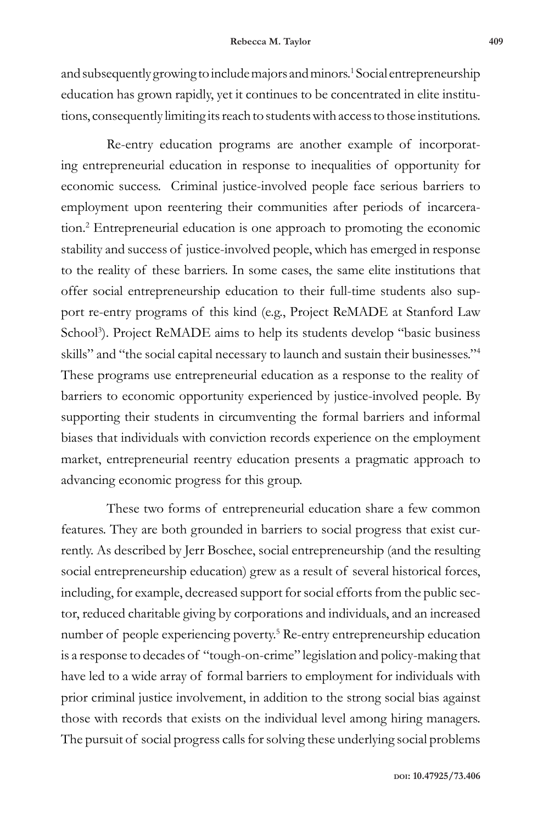and subsequently growing to include majors and minors.<sup>1</sup> Social entrepreneurship education has grown rapidly, yet it continues to be concentrated in elite institutions, consequently limiting its reach to students with access to those institutions.

Re-entry education programs are another example of incorporating entrepreneurial education in response to inequalities of opportunity for economic success. Criminal justice-involved people face serious barriers to employment upon reentering their communities after periods of incarceration.2 Entrepreneurial education is one approach to promoting the economic stability and success of justice-involved people, which has emerged in response to the reality of these barriers. In some cases, the same elite institutions that offer social entrepreneurship education to their full-time students also support re-entry programs of this kind (e.g., Project ReMADE at Stanford Law School<sup>3</sup>). Project ReMADE aims to help its students develop "basic business skills" and "the social capital necessary to launch and sustain their businesses."4 These programs use entrepreneurial education as a response to the reality of barriers to economic opportunity experienced by justice-involved people. By supporting their students in circumventing the formal barriers and informal biases that individuals with conviction records experience on the employment market, entrepreneurial reentry education presents a pragmatic approach to advancing economic progress for this group.

These two forms of entrepreneurial education share a few common features. They are both grounded in barriers to social progress that exist currently. As described by Jerr Boschee, social entrepreneurship (and the resulting social entrepreneurship education) grew as a result of several historical forces, including, for example, decreased support for social efforts from the public sector, reduced charitable giving by corporations and individuals, and an increased number of people experiencing poverty.5 Re-entry entrepreneurship education is a response to decades of "tough-on-crime" legislation and policy-making that have led to a wide array of formal barriers to employment for individuals with prior criminal justice involvement, in addition to the strong social bias against those with records that exists on the individual level among hiring managers. The pursuit of social progress calls for solving these underlying social problems